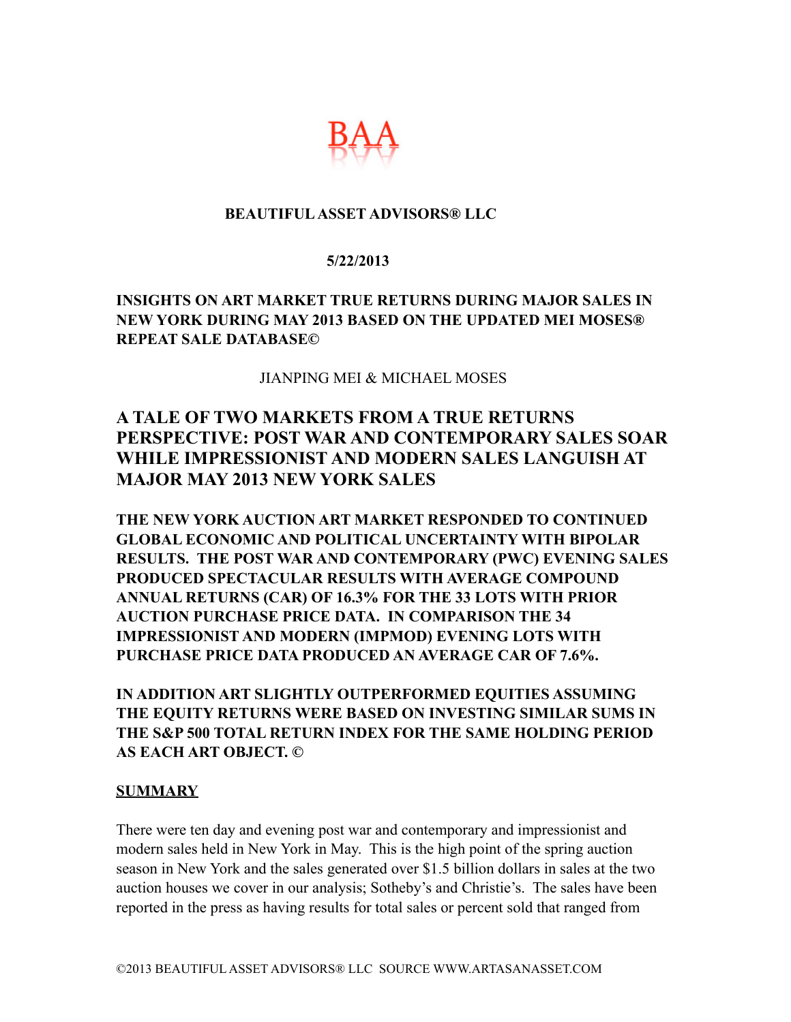

### **BEAUTIFUL ASSET ADVISORS® LLC**

#### **5/22/2013**

## **INSIGHTS ON ART MARKET TRUE RETURNS DURING MAJOR SALES IN NEW YORK DURING MAY 2013 BASED ON THE UPDATED MEI MOSES® REPEAT SALE DATABASE©**

#### JIANPING MEI & MICHAEL MOSES

# **A TALE OF TWO MARKETS FROM A TRUE RETURNS PERSPECTIVE: POST WAR AND CONTEMPORARY SALES SOAR WHILE IMPRESSIONIST AND MODERN SALES LANGUISH AT MAJOR MAY 2013 NEW YORK SALES**

**THE NEW YORK AUCTION ART MARKET RESPONDED TO CONTINUED GLOBAL ECONOMIC AND POLITICAL UNCERTAINTY WITH BIPOLAR RESULTS. THE POST WAR AND CONTEMPORARY (PWC) EVENING SALES PRODUCED SPECTACULAR RESULTS WITH AVERAGE COMPOUND ANNUAL RETURNS (CAR) OF 16.3% FOR THE 33 LOTS WITH PRIOR AUCTION PURCHASE PRICE DATA. IN COMPARISON THE 34 IMPRESSIONIST AND MODERN (IMPMOD) EVENING LOTS WITH PURCHASE PRICE DATA PRODUCED AN AVERAGE CAR OF 7.6%.** 

**IN ADDITION ART SLIGHTLY OUTPERFORMED EQUITIES ASSUMING THE EQUITY RETURNS WERE BASED ON INVESTING SIMILAR SUMS IN THE S&P 500 TOTAL RETURN INDEX FOR THE SAME HOLDING PERIOD AS EACH ART OBJECT. ©** 

#### **SUMMARY**

There were ten day and evening post war and contemporary and impressionist and modern sales held in New York in May. This is the high point of the spring auction season in New York and the sales generated over \$1.5 billion dollars in sales at the two auction houses we cover in our analysis; Sotheby's and Christie's. The sales have been reported in the press as having results for total sales or percent sold that ranged from